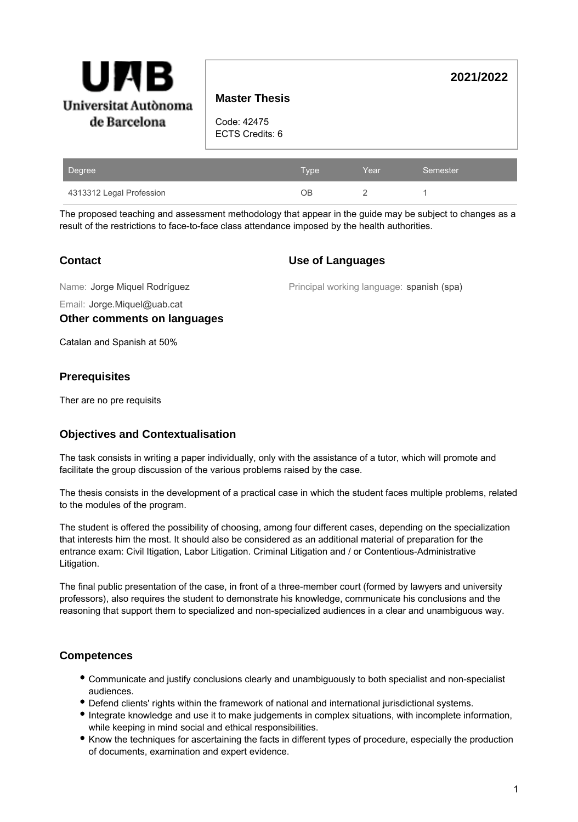

# **Master Thesis**

Code: 42475 ECTS Credits: 6

| Degree                   | Type | Year | Semester |
|--------------------------|------|------|----------|
| 4313312 Legal Profession | ЭB   |      |          |

The proposed teaching and assessment methodology that appear in the guide may be subject to changes as a result of the restrictions to face-to-face class attendance imposed by the health authorities.

## **Contact**

### **Use of Languages**

Name: Jorge Miquel Rodríguez

Principal working language: spanish (spa)

**2021/2022**

Email: Jorge.Miquel@uab.cat

### **Other comments on languages**

Catalan and Spanish at 50%

### **Prerequisites**

Ther are no pre requisits

# **Objectives and Contextualisation**

The task consists in writing a paper individually, only with the assistance of a tutor, which will promote and facilitate the group discussion of the various problems raised by the case.

The thesis consists in the development of a practical case in which the student faces multiple problems, related to the modules of the program.

The student is offered the possibility of choosing, among four different cases, depending on the specialization that interests him the most. It should also be considered as an additional material of preparation for the entrance exam: Civil Itigation, Labor Litigation. Criminal Litigation and / or Contentious-Administrative Litigation.

The final public presentation of the case, in front of a three-member court (formed by lawyers and university professors), also requires the student to demonstrate his knowledge, communicate his conclusions and the reasoning that support them to specialized and non-specialized audiences in a clear and unambiguous way.

# **Competences**

- Communicate and justify conclusions clearly and unambiguously to both specialist and non-specialist audiences.
- Defend clients' rights within the framework of national and international jurisdictional systems.
- Integrate knowledge and use it to make judgements in complex situations, with incomplete information, while keeping in mind social and ethical responsibilities.
- Know the techniques for ascertaining the facts in different types of procedure, especially the production of documents, examination and expert evidence.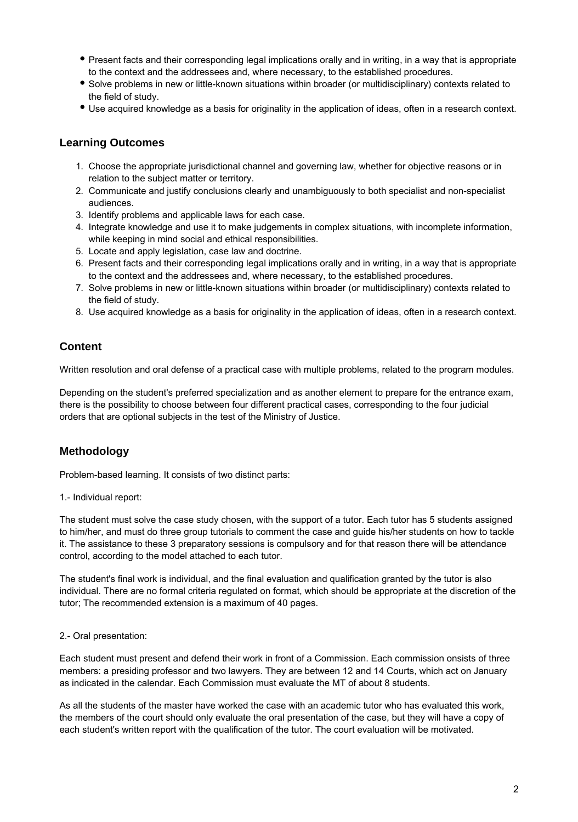- Present facts and their corresponding legal implications orally and in writing, in a way that is appropriate to the context and the addressees and, where necessary, to the established procedures.
- Solve problems in new or little-known situations within broader (or multidisciplinary) contexts related to the field of study.
- Use acquired knowledge as a basis for originality in the application of ideas, often in a research context.

## **Learning Outcomes**

- 1. Choose the appropriate jurisdictional channel and governing law, whether for objective reasons or in relation to the subject matter or territory.
- 2. Communicate and justify conclusions clearly and unambiguously to both specialist and non-specialist audiences.
- 3. Identify problems and applicable laws for each case.
- 4. Integrate knowledge and use it to make judgements in complex situations, with incomplete information, while keeping in mind social and ethical responsibilities.
- 5. Locate and apply legislation, case law and doctrine.
- 6. Present facts and their corresponding legal implications orally and in writing, in a way that is appropriate to the context and the addressees and, where necessary, to the established procedures.
- 7. Solve problems in new or little-known situations within broader (or multidisciplinary) contexts related to the field of study.
- 8. Use acquired knowledge as a basis for originality in the application of ideas, often in a research context.

## **Content**

Written resolution and oral defense of a practical case with multiple problems, related to the program modules.

Depending on the student's preferred specialization and as another element to prepare for the entrance exam, there is the possibility to choose between four different practical cases, corresponding to the four judicial orders that are optional subjects in the test of the Ministry of Justice.

# **Methodology**

Problem-based learning. It consists of two distinct parts:

#### 1.- Individual report:

The student must solve the case study chosen, with the support of a tutor. Each tutor has 5 students assigned to him/her, and must do three group tutorials to comment the case and guide his/her students on how to tackle it. The assistance to these 3 preparatory sessions is compulsory and for that reason there will be attendance control, according to the model attached to each tutor.

The student's final work is individual, and the final evaluation and qualification granted by the tutor is also individual. There are no formal criteria regulated on format, which should be appropriate at the discretion of the tutor; The recommended extension is a maximum of 40 pages.

#### 2.- Oral presentation:

Each student must present and defend their work in front of a Commission. Each commission onsists of three members: a presiding professor and two lawyers. They are between 12 and 14 Courts, which act on January as indicated in the calendar. Each Commission must evaluate the MT of about 8 students.

As all the students of the master have worked the case with an academic tutor who has evaluated this work, the members of the court should only evaluate the oral presentation of the case, but they will have a copy of each student's written report with the qualification of the tutor. The court evaluation will be motivated.